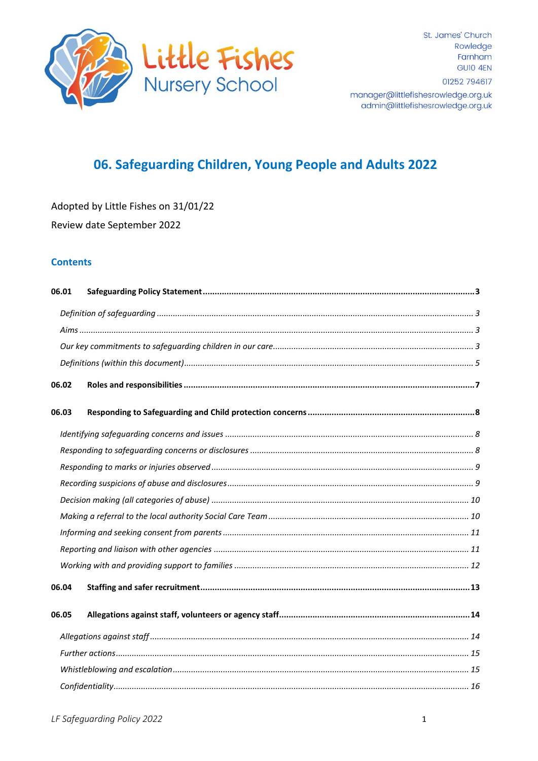

# 06. Safeguarding Children, Young People and Adults 2022

Adopted by Little Fishes on 31/01/22

Review date September 2022

#### **Contents**

| 06.01 |  |  |  |
|-------|--|--|--|
|       |  |  |  |
|       |  |  |  |
|       |  |  |  |
|       |  |  |  |
| 06.02 |  |  |  |
| 06.03 |  |  |  |
|       |  |  |  |
|       |  |  |  |
|       |  |  |  |
|       |  |  |  |
|       |  |  |  |
|       |  |  |  |
|       |  |  |  |
|       |  |  |  |
|       |  |  |  |
| 06.04 |  |  |  |
| 06.05 |  |  |  |
|       |  |  |  |
|       |  |  |  |
|       |  |  |  |
|       |  |  |  |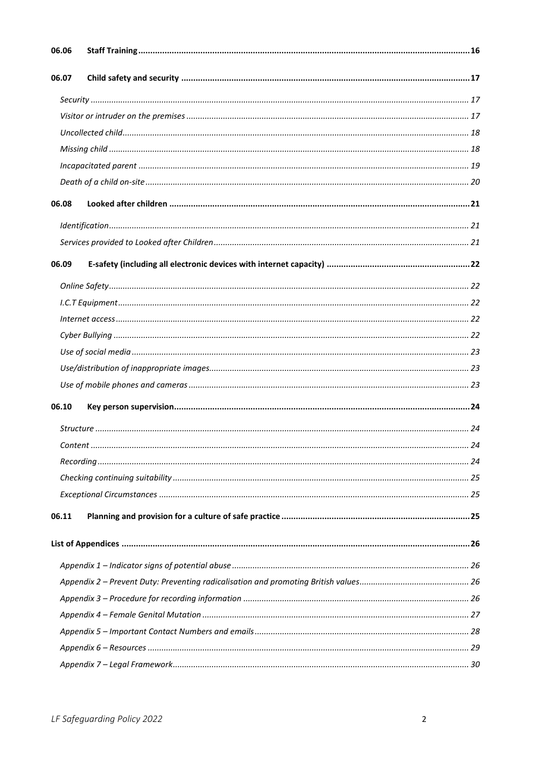| 06.06 |  |
|-------|--|
| 06.07 |  |
|       |  |
|       |  |
|       |  |
|       |  |
|       |  |
|       |  |
| 06.08 |  |
|       |  |
|       |  |
| 06.09 |  |
|       |  |
|       |  |
|       |  |
|       |  |
|       |  |
|       |  |
|       |  |
| 06.10 |  |
|       |  |
|       |  |
|       |  |
|       |  |
|       |  |
| 06.11 |  |
|       |  |
|       |  |
|       |  |
|       |  |
|       |  |
|       |  |
|       |  |
|       |  |
|       |  |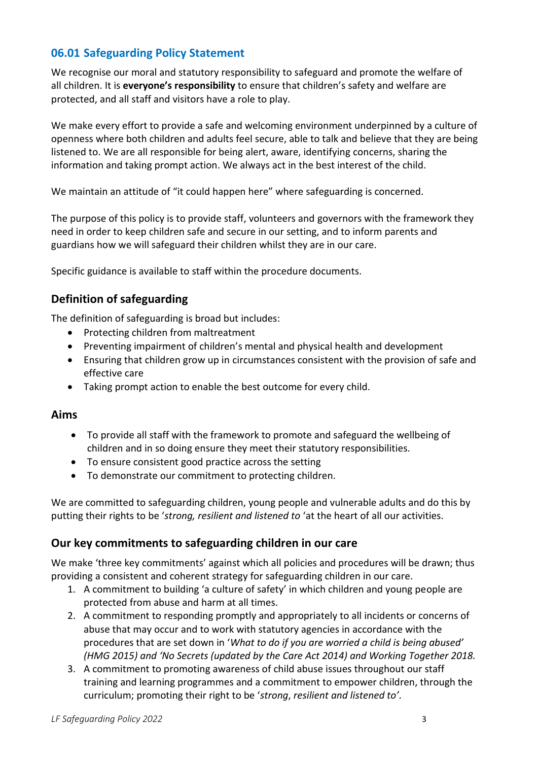## <span id="page-2-0"></span>**06.01 Safeguarding Policy Statement**

We recognise our moral and statutory responsibility to safeguard and promote the welfare of all children. It is **everyone's responsibility** to ensure that children's safety and welfare are protected, and all staff and visitors have a role to play.

We make every effort to provide a safe and welcoming environment underpinned by a culture of openness where both children and adults feel secure, able to talk and believe that they are being listened to. We are all responsible for being alert, aware, identifying concerns, sharing the information and taking prompt action. We always act in the best interest of the child.

We maintain an attitude of "it could happen here" where safeguarding is concerned.

The purpose of this policy is to provide staff, volunteers and governors with the framework they need in order to keep children safe and secure in our setting, and to inform parents and guardians how we will safeguard their children whilst they are in our care.

Specific guidance is available to staff within the procedure documents.

## <span id="page-2-1"></span>**Definition of safeguarding**

The definition of safeguarding is broad but includes:

- Protecting children from maltreatment
- Preventing impairment of children's mental and physical health and development
- Ensuring that children grow up in circumstances consistent with the provision of safe and effective care
- Taking prompt action to enable the best outcome for every child.

#### <span id="page-2-2"></span>**Aims**

- To provide all staff with the framework to promote and safeguard the wellbeing of children and in so doing ensure they meet their statutory responsibilities.
- To ensure consistent good practice across the setting
- To demonstrate our commitment to protecting children.

We are committed to safeguarding children, young people and vulnerable adults and do this by putting their rights to be '*strong, resilient and listened to* 'at the heart of all our activities.

## <span id="page-2-3"></span>**Our key commitments to safeguarding children in our care**

We make 'three key commitments' against which all policies and procedures will be drawn; thus providing a consistent and coherent strategy for safeguarding children in our care.

- 1. A commitment to building 'a culture of safety' in which children and young people are protected from abuse and harm at all times.
- 2. A commitment to responding promptly and appropriately to all incidents or concerns of abuse that may occur and to work with statutory agencies in accordance with the procedures that are set down in '*What to do if you are worried a child is being abused' (HMG 2015) and 'No Secrets (updated by the Care Act 2014) and Working Together 2018.*
- 3. A commitment to promoting awareness of child abuse issues throughout our staff training and learning programmes and a commitment to empower children, through the curriculum; promoting their right to be '*strong*, *resilient and listened to'*.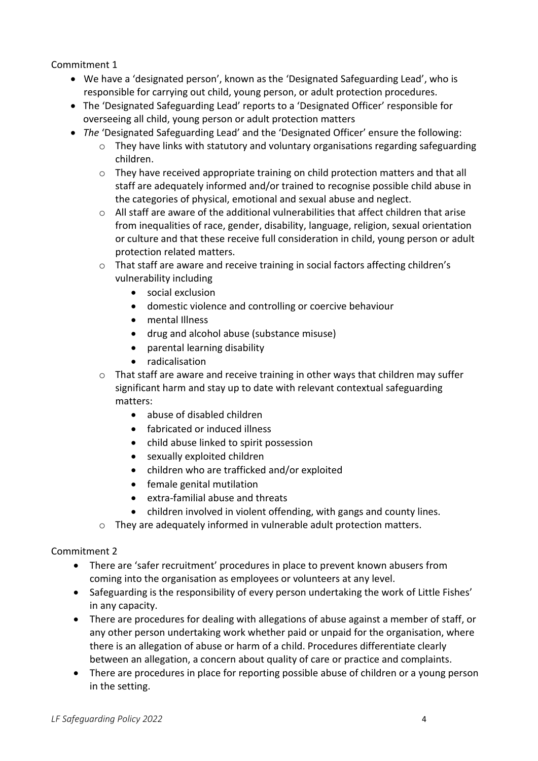#### Commitment 1

- We have a 'designated person', known as the 'Designated Safeguarding Lead', who is responsible for carrying out child, young person, or adult protection procedures.
- The 'Designated Safeguarding Lead' reports to a 'Designated Officer' responsible for overseeing all child, young person or adult protection matters
- *The* 'Designated Safeguarding Lead' and the 'Designated Officer' ensure the following:
	- $\circ$  They have links with statutory and voluntary organisations regarding safeguarding children.
	- o They have received appropriate training on child protection matters and that all staff are adequately informed and/or trained to recognise possible child abuse in the categories of physical, emotional and sexual abuse and neglect.
	- o All staff are aware of the additional vulnerabilities that affect children that arise from inequalities of race, gender, disability, language, religion, sexual orientation or culture and that these receive full consideration in child, young person or adult protection related matters.
	- o That staff are aware and receive training in social factors affecting children's vulnerability including
		- social exclusion
		- domestic violence and controlling or coercive behaviour
		- mental Illness
		- drug and alcohol abuse (substance misuse)
		- parental learning disability
		- radicalisation
	- $\circ$  That staff are aware and receive training in other ways that children may suffer significant harm and stay up to date with relevant contextual safeguarding matters:
		- abuse of disabled children
		- fabricated or induced illness
		- child abuse linked to spirit possession
		- sexually exploited children
		- children who are trafficked and/or exploited
		- female genital mutilation
		- extra-familial abuse and threats
		- children involved in violent offending, with gangs and county lines.
	- o They are adequately informed in vulnerable adult protection matters.

#### Commitment 2

- There are 'safer recruitment' procedures in place to prevent known abusers from coming into the organisation as employees or volunteers at any level.
- Safeguarding is the responsibility of every person undertaking the work of Little Fishes' in any capacity.
- There are procedures for dealing with allegations of abuse against a member of staff, or any other person undertaking work whether paid or unpaid for the organisation, where there is an allegation of abuse or harm of a child. Procedures differentiate clearly between an allegation, a concern about quality of care or practice and complaints.
- There are procedures in place for reporting possible abuse of children or a young person in the setting.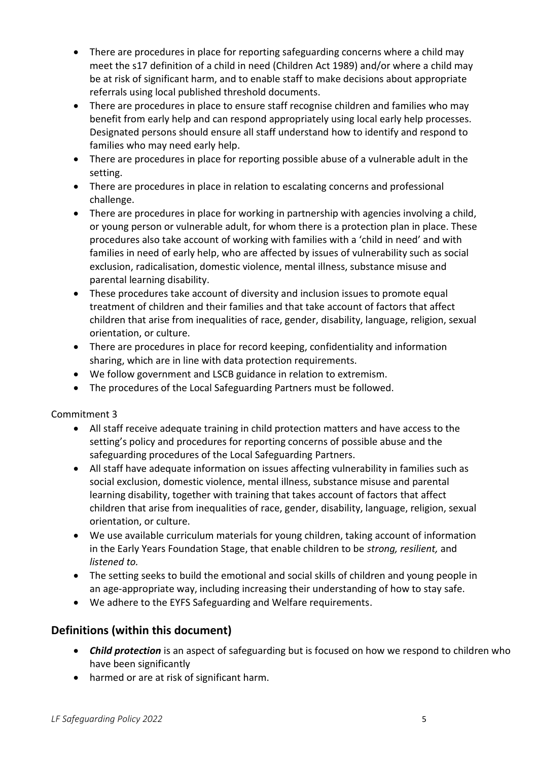- There are procedures in place for reporting safeguarding concerns where a child may meet the s17 definition of a child in need (Children Act 1989) and/or where a child may be at risk of significant harm, and to enable staff to make decisions about appropriate referrals using local published threshold documents.
- There are procedures in place to ensure staff recognise children and families who may benefit from early help and can respond appropriately using local early help processes. Designated persons should ensure all staff understand how to identify and respond to families who may need early help.
- There are procedures in place for reporting possible abuse of a vulnerable adult in the setting.
- There are procedures in place in relation to escalating concerns and professional challenge.
- There are procedures in place for working in partnership with agencies involving a child, or young person or vulnerable adult, for whom there is a protection plan in place. These procedures also take account of working with families with a 'child in need' and with families in need of early help, who are affected by issues of vulnerability such as social exclusion, radicalisation, domestic violence, mental illness, substance misuse and parental learning disability.
- These procedures take account of diversity and inclusion issues to promote equal treatment of children and their families and that take account of factors that affect children that arise from inequalities of race, gender, disability, language, religion, sexual orientation, or culture.
- There are procedures in place for record keeping, confidentiality and information sharing, which are in line with data protection requirements.
- We follow government and LSCB guidance in relation to extremism.
- The procedures of the Local Safeguarding Partners must be followed.

#### Commitment 3

- All staff receive adequate training in child protection matters and have access to the setting's policy and procedures for reporting concerns of possible abuse and the safeguarding procedures of the Local Safeguarding Partners.
- All staff have adequate information on issues affecting vulnerability in families such as social exclusion, domestic violence, mental illness, substance misuse and parental learning disability, together with training that takes account of factors that affect children that arise from inequalities of race, gender, disability, language, religion, sexual orientation, or culture.
- We use available curriculum materials for young children, taking account of information in the Early Years Foundation Stage, that enable children to be *strong, resilient,* and *listened to.*
- The setting seeks to build the emotional and social skills of children and young people in an age-appropriate way, including increasing their understanding of how to stay safe.
- We adhere to the EYFS Safeguarding and Welfare requirements.

## <span id="page-4-0"></span>**Definitions (within this document)**

- *Child protection* is an aspect of safeguarding but is focused on how we respond to children who have been significantly
- harmed or are at risk of significant harm.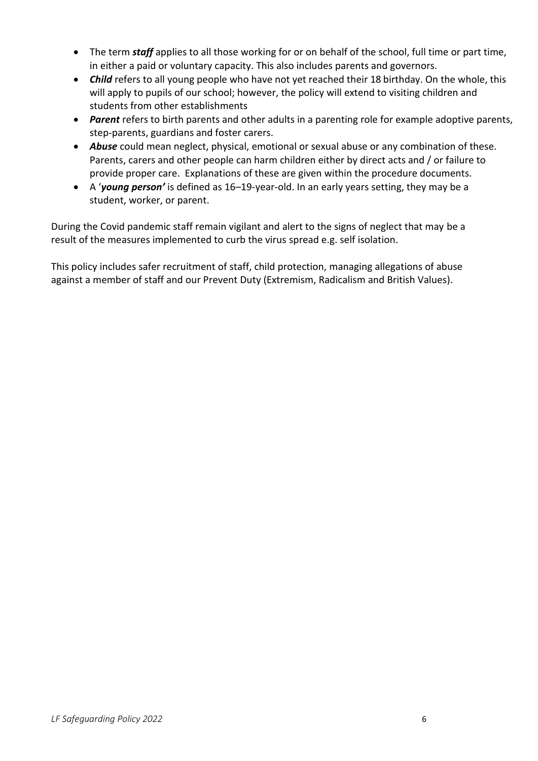- The term *staff* applies to all those working for or on behalf of the school, full time or part time, in either a paid or voluntary capacity. This also includes parents and governors.
- *Child* refers to all young people who have not yet reached their 18 birthday. On the whole, this will apply to pupils of our school; however, the policy will extend to visiting children and students from other establishments
- *Parent* refers to birth parents and other adults in a parenting role for example adoptive parents, step-parents, guardians and foster carers.
- *Abuse* could mean neglect, physical, emotional or sexual abuse or any combination of these. Parents, carers and other people can harm children either by direct acts and / or failure to provide proper care. Explanations of these are given within the procedure documents.
- A '*young person'* is defined as 16–19-year-old. In an early years setting, they may be a student, worker, or parent.

During the Covid pandemic staff remain vigilant and alert to the signs of neglect that may be a result of the measures implemented to curb the virus spread e.g. self isolation.

This policy includes safer recruitment of staff, child protection, managing allegations of abuse against a member of staff and our Prevent Duty (Extremism, Radicalism and British Values).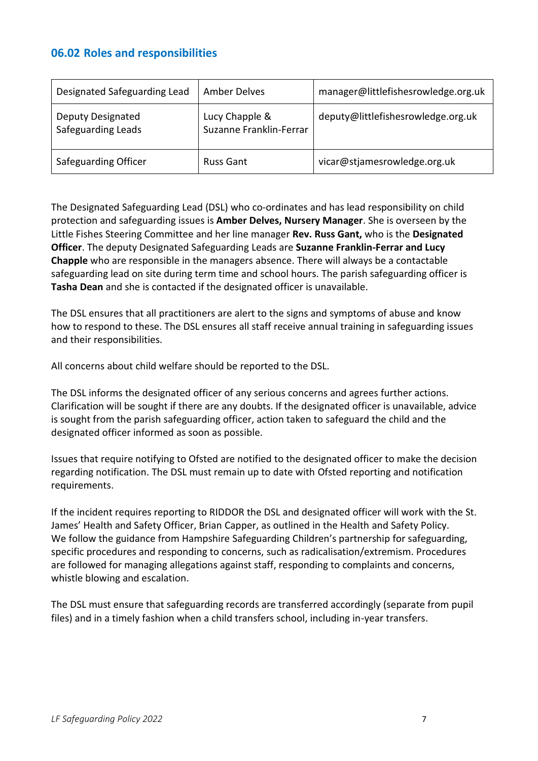#### <span id="page-6-0"></span>**06.02 Roles and responsibilities**

| Designated Safeguarding Lead            | Amber Delves                              | manager@littlefishesrowledge.org.uk |
|-----------------------------------------|-------------------------------------------|-------------------------------------|
| Deputy Designated<br>Safeguarding Leads | Lucy Chapple &<br>Suzanne Franklin-Ferrar | deputy@littlefishesrowledge.org.uk  |
| Safeguarding Officer                    | <b>Russ Gant</b>                          | vicar@stjamesrowledge.org.uk        |

The Designated Safeguarding Lead (DSL) who co-ordinates and has lead responsibility on child protection and safeguarding issues is **Amber Delves, Nursery Manager**. She is overseen by the Little Fishes Steering Committee and her line manager **Rev. Russ Gant,** who is the **Designated Officer**. The deputy Designated Safeguarding Leads are **Suzanne Franklin-Ferrar and Lucy Chapple** who are responsible in the managers absence. There will always be a contactable safeguarding lead on site during term time and school hours. The parish safeguarding officer is **Tasha Dean** and she is contacted if the designated officer is unavailable.

The DSL ensures that all practitioners are alert to the signs and symptoms of abuse and know how to respond to these. The DSL ensures all staff receive annual training in safeguarding issues and their responsibilities.

All concerns about child welfare should be reported to the DSL.

The DSL informs the designated officer of any serious concerns and agrees further actions. Clarification will be sought if there are any doubts. If the designated officer is unavailable, advice is sought from the parish safeguarding officer, action taken to safeguard the child and the designated officer informed as soon as possible.

Issues that require notifying to Ofsted are notified to the designated officer to make the decision regarding notification. The DSL must remain up to date with Ofsted reporting and notification requirements.

If the incident requires reporting to RIDDOR the DSL and designated officer will work with the St. James' Health and Safety Officer, Brian Capper, as outlined in the Health and Safety Policy. We follow the guidance from Hampshire Safeguarding Children's partnership for safeguarding, specific procedures and responding to concerns, such as radicalisation/extremism. Procedures are followed for managing allegations against staff, responding to complaints and concerns, whistle blowing and escalation.

The DSL must ensure that safeguarding records are transferred accordingly (separate from pupil files) and in a timely fashion when a child transfers school, including in-year transfers.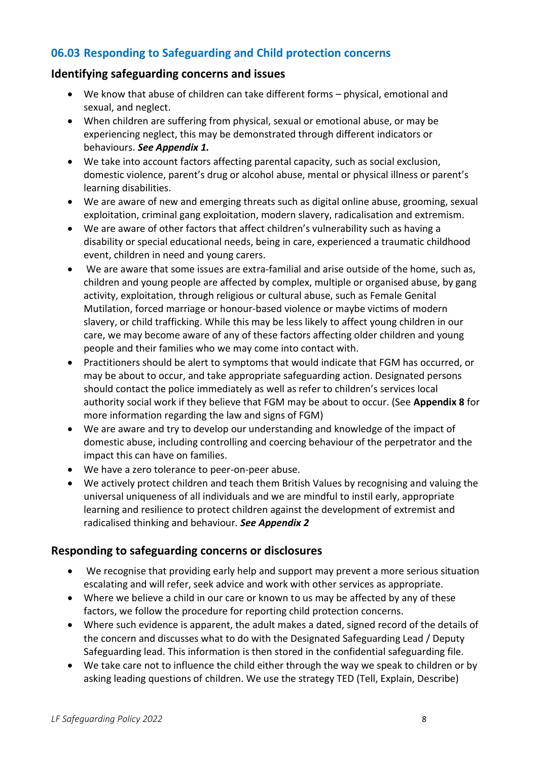## <span id="page-7-0"></span>**06.03 Responding to Safeguarding and Child protection concerns**

#### <span id="page-7-1"></span>**Identifying safeguarding concerns and issues**

- We know that abuse of children can take different forms physical, emotional and sexual, and neglect.
- When children are suffering from physical, sexual or emotional abuse, or may be experiencing neglect, this may be demonstrated through different indicators or behaviours. *See Appendix 1.*
- We take into account factors affecting parental capacity, such as social exclusion, domestic violence, parent's drug or alcohol abuse, mental or physical illness or parent's learning disabilities.
- We are aware of new and emerging threats such as digital online abuse, grooming, sexual exploitation, criminal gang exploitation, modern slavery, radicalisation and extremism.
- We are aware of other factors that affect children's vulnerability such as having a disability or special educational needs, being in care, experienced a traumatic childhood event, children in need and young carers.
- We are aware that some issues are extra-familial and arise outside of the home, such as, children and young people are affected by complex, multiple or organised abuse, by gang activity, exploitation, through religious or cultural abuse, such as Female Genital Mutilation, forced marriage or honour-based violence or maybe victims of modern slavery, or child trafficking. While this may be less likely to affect young children in our care, we may become aware of any of these factors affecting older children and young people and their families who we may come into contact with.
- Practitioners should be alert to symptoms that would indicate that FGM has occurred, or may be about to occur, and take appropriate safeguarding action. Designated persons should contact the police immediately as well as refer to children's services local authority social work if they believe that FGM may be about to occur. (See **Appendix 8** for more information regarding the law and signs of FGM)
- We are aware and try to develop our understanding and knowledge of the impact of domestic abuse, including controlling and coercing behaviour of the perpetrator and the impact this can have on families.
- We have a zero tolerance to peer-on-peer abuse.
- We actively protect children and teach them British Values by recognising and valuing the universal uniqueness of all individuals and we are mindful to instil early, appropriate learning and resilience to protect children against the development of extremist and radicalised thinking and behaviour*. See Appendix 2*

#### <span id="page-7-2"></span>**Responding to safeguarding concerns or disclosures**

- We recognise that providing early help and support may prevent a more serious situation escalating and will refer, seek advice and work with other services as appropriate.
- Where we believe a child in our care or known to us may be affected by any of these factors, we follow the procedure for reporting child protection concerns.
- Where such evidence is apparent, the adult makes a dated, signed record of the details of the concern and discusses what to do with the Designated Safeguarding Lead / Deputy Safeguarding lead. This information is then stored in the confidential safeguarding file.
- We take care not to influence the child either through the way we speak to children or by asking leading questions of children. We use the strategy TED (Tell, Explain, Describe)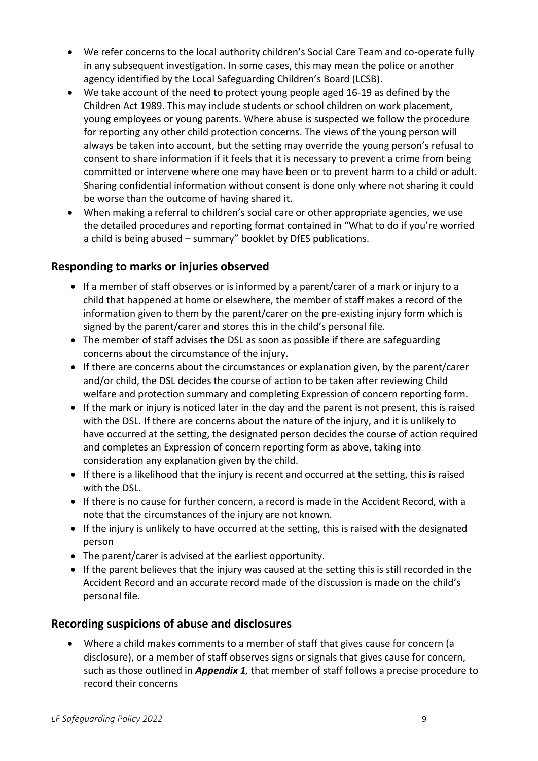- We refer concerns to the local authority children's Social Care Team and co-operate fully in any subsequent investigation. In some cases, this may mean the police or another agency identified by the Local Safeguarding Children's Board (LCSB).
- We take account of the need to protect young people aged 16-19 as defined by the Children Act 1989. This may include students or school children on work placement, young employees or young parents. Where abuse is suspected we follow the procedure for reporting any other child protection concerns. The views of the young person will always be taken into account, but the setting may override the young person's refusal to consent to share information if it feels that it is necessary to prevent a crime from being committed or intervene where one may have been or to prevent harm to a child or adult. Sharing confidential information without consent is done only where not sharing it could be worse than the outcome of having shared it.
- When making a referral to children's social care or other appropriate agencies, we use the detailed procedures and reporting format contained in "What to do if you're worried a child is being abused – summary" booklet by DfES publications.

## <span id="page-8-0"></span>**Responding to marks or injuries observed**

- If a member of staff observes or is informed by a parent/carer of a mark or injury to a child that happened at home or elsewhere, the member of staff makes a record of the information given to them by the parent/carer on the pre-existing injury form which is signed by the parent/carer and stores this in the child's personal file.
- The member of staff advises the DSL as soon as possible if there are safeguarding concerns about the circumstance of the injury.
- If there are concerns about the circumstances or explanation given, by the parent/carer and/or child, the DSL decides the course of action to be taken after reviewing Child welfare and protection summary and completing Expression of concern reporting form.
- If the mark or injury is noticed later in the day and the parent is not present, this is raised with the DSL. If there are concerns about the nature of the injury, and it is unlikely to have occurred at the setting, the designated person decides the course of action required and completes an Expression of concern reporting form as above, taking into consideration any explanation given by the child.
- If there is a likelihood that the injury is recent and occurred at the setting, this is raised with the DSL.
- If there is no cause for further concern, a record is made in the Accident Record, with a note that the circumstances of the injury are not known.
- If the injury is unlikely to have occurred at the setting, this is raised with the designated person
- The parent/carer is advised at the earliest opportunity.
- If the parent believes that the injury was caused at the setting this is still recorded in the Accident Record and an accurate record made of the discussion is made on the child's personal file.

#### <span id="page-8-1"></span>**Recording suspicions of abuse and disclosures**

• Where a child makes comments to a member of staff that gives cause for concern (a disclosure), or a member of staff observes signs or signals that gives cause for concern, such as those outlined in *Appendix 1,* that member of staff follows a precise procedure to record their concerns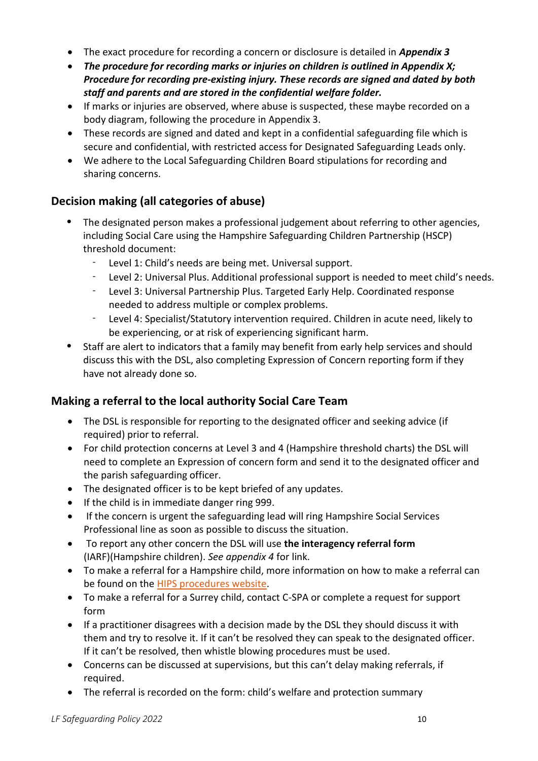- The exact procedure for recording a concern or disclosure is detailed in *Appendix 3*
- *The procedure for recording marks or injuries on children is outlined in Appendix X; Procedure for recording pre-existing injury. These records are signed and dated by both staff and parents and are stored in the confidential welfare folder.*
- If marks or injuries are observed, where abuse is suspected, these maybe recorded on a body diagram, following the procedure in Appendix 3.
- These records are signed and dated and kept in a confidential safeguarding file which is secure and confidential, with restricted access for Designated Safeguarding Leads only.
- We adhere to the Local Safeguarding Children Board stipulations for recording and sharing concerns.

## <span id="page-9-0"></span>**Decision making (all categories of abuse)**

- The designated person makes a professional judgement about referring to other agencies, including Social Care using the Hampshire Safeguarding Children Partnership (HSCP) threshold document:
	- Level 1: Child's needs are being met. Universal support.
	- Level 2: Universal Plus. Additional professional support is needed to meet child's needs.
	- Level 3: Universal Partnership Plus. Targeted Early Help. Coordinated response needed to address multiple or complex problems.
	- Level 4: Specialist/Statutory intervention required. Children in acute need, likely to be experiencing, or at risk of experiencing significant harm.
- Staff are alert to indicators that a family may benefit from early help services and should discuss this with the DSL, also completing Expression of Concern reporting form if they have not already done so.

## <span id="page-9-1"></span>**Making a referral to the local authority Social Care Team**

- The DSL is responsible for reporting to the designated officer and seeking advice (if required) prior to referral.
- For child protection concerns at Level 3 and 4 (Hampshire threshold charts) the DSL will need to complete an Expression of concern form and send it to the designated officer and the parish safeguarding officer.
- The designated officer is to be kept briefed of any updates.
- If the child is in immediate danger ring 999.
- If the concern is urgent the safeguarding lead will ring Hampshire Social Services Professional line as soon as possible to discuss the situation.
- To report any other concern the DSL will use **the interagency referral form** (IARF)(Hampshire children). *See appendix 4* for link.
- To make a referral for a Hampshire child, more information on how to make a referral can be found on the HIPS [procedures](http://hipsprocedures.org.uk/) website.
- To make a referral for a Surrey child, contact C-SPA or complete a request for support form
- If a practitioner disagrees with a decision made by the DSL they should discuss it with them and try to resolve it. If it can't be resolved they can speak to the designated officer. If it can't be resolved, then whistle blowing procedures must be used.
- Concerns can be discussed at supervisions, but this can't delay making referrals, if required.
- The referral is recorded on the form: child's welfare and protection summary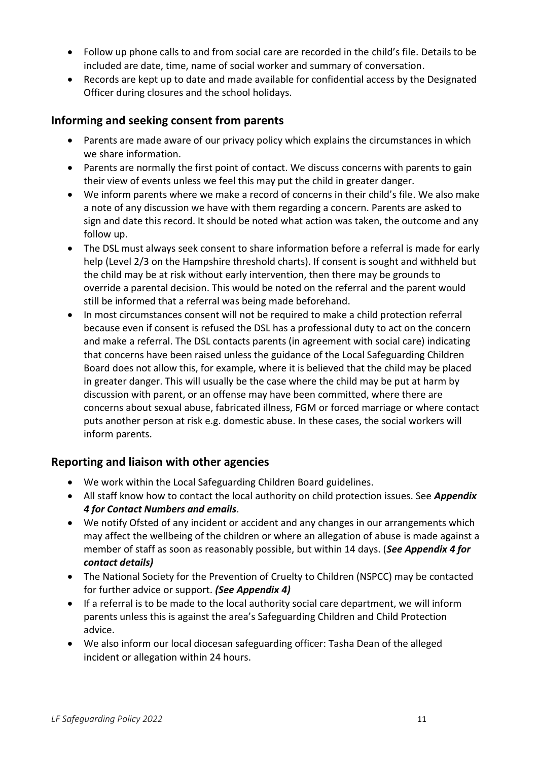- Follow up phone calls to and from social care are recorded in the child's file. Details to be included are date, time, name of social worker and summary of conversation.
- Records are kept up to date and made available for confidential access by the Designated Officer during closures and the school holidays.

### <span id="page-10-0"></span>**Informing and seeking consent from parents**

- Parents are made aware of our privacy policy which explains the circumstances in which we share information.
- Parents are normally the first point of contact. We discuss concerns with parents to gain their view of events unless we feel this may put the child in greater danger.
- We inform parents where we make a record of concerns in their child's file. We also make a note of any discussion we have with them regarding a concern. Parents are asked to sign and date this record. It should be noted what action was taken, the outcome and any follow up.
- The DSL must always seek consent to share information before a referral is made for early help (Level 2/3 on the Hampshire threshold charts). If consent is sought and withheld but the child may be at risk without early intervention, then there may be grounds to override a parental decision. This would be noted on the referral and the parent would still be informed that a referral was being made beforehand.
- In most circumstances consent will not be required to make a child protection referral because even if consent is refused the DSL has a professional duty to act on the concern and make a referral. The DSL contacts parents (in agreement with social care) indicating that concerns have been raised unless the guidance of the Local Safeguarding Children Board does not allow this, for example, where it is believed that the child may be placed in greater danger. This will usually be the case where the child may be put at harm by discussion with parent, or an offense may have been committed, where there are concerns about sexual abuse, fabricated illness, FGM or forced marriage or where contact puts another person at risk e.g. domestic abuse. In these cases, the social workers will inform parents.

#### <span id="page-10-1"></span>**Reporting and liaison with other agencies**

- We work within the Local Safeguarding Children Board guidelines.
- All staff know how to contact the local authority on child protection issues. See *Appendix 4 for Contact Numbers and emails*.
- We notify Ofsted of any incident or accident and any changes in our arrangements which may affect the wellbeing of the children or where an allegation of abuse is made against a member of staff as soon as reasonably possible, but within 14 days. (*See Appendix 4 for contact details)*
- The National Society for the Prevention of Cruelty to Children (NSPCC) may be contacted for further advice or support. *(See Appendix 4)*
- If a referral is to be made to the local authority social care department, we will inform parents unless this is against the area's Safeguarding Children and Child Protection advice.
- We also inform our local diocesan safeguarding officer: Tasha Dean of the alleged incident or allegation within 24 hours.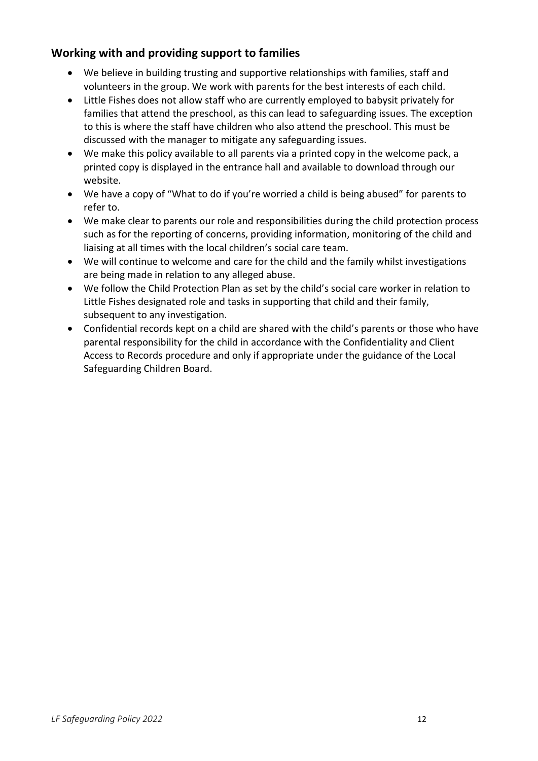## <span id="page-11-0"></span>**Working with and providing support to families**

- We believe in building trusting and supportive relationships with families, staff and volunteers in the group. We work with parents for the best interests of each child.
- Little Fishes does not allow staff who are currently employed to babysit privately for families that attend the preschool, as this can lead to safeguarding issues. The exception to this is where the staff have children who also attend the preschool. This must be discussed with the manager to mitigate any safeguarding issues.
- We make this policy available to all parents via a printed copy in the welcome pack, a printed copy is displayed in the entrance hall and available to download through our website.
- We have a copy of "What to do if you're worried a child is being abused" for parents to refer to.
- We make clear to parents our role and responsibilities during the child protection process such as for the reporting of concerns, providing information, monitoring of the child and liaising at all times with the local children's social care team.
- We will continue to welcome and care for the child and the family whilst investigations are being made in relation to any alleged abuse.
- We follow the Child Protection Plan as set by the child's social care worker in relation to Little Fishes designated role and tasks in supporting that child and their family, subsequent to any investigation.
- Confidential records kept on a child are shared with the child's parents or those who have parental responsibility for the child in accordance with the Confidentiality and Client Access to Records procedure and only if appropriate under the guidance of the Local Safeguarding Children Board.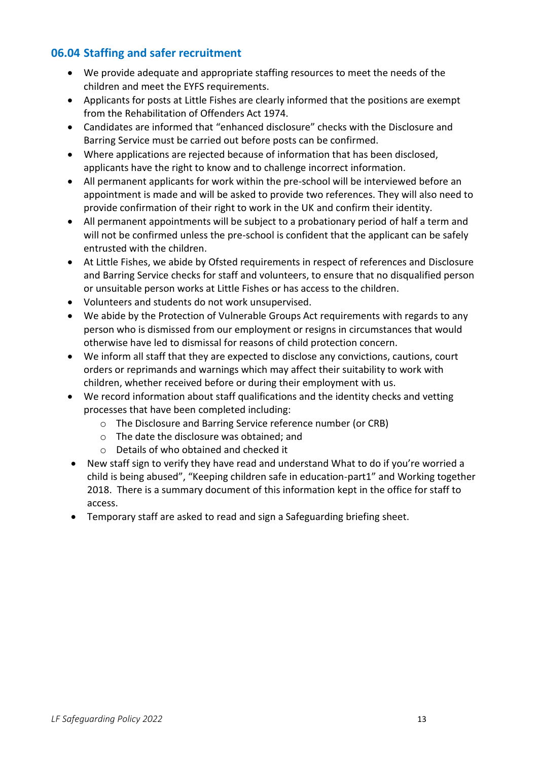## <span id="page-12-0"></span>**06.04 Staffing and safer recruitment**

- We provide adequate and appropriate staffing resources to meet the needs of the children and meet the EYFS requirements.
- Applicants for posts at Little Fishes are clearly informed that the positions are exempt from the Rehabilitation of Offenders Act 1974.
- Candidates are informed that "enhanced disclosure" checks with the Disclosure and Barring Service must be carried out before posts can be confirmed.
- Where applications are rejected because of information that has been disclosed, applicants have the right to know and to challenge incorrect information.
- All permanent applicants for work within the pre-school will be interviewed before an appointment is made and will be asked to provide two references. They will also need to provide confirmation of their right to work in the UK and confirm their identity.
- All permanent appointments will be subject to a probationary period of half a term and will not be confirmed unless the pre-school is confident that the applicant can be safely entrusted with the children.
- At Little Fishes, we abide by Ofsted requirements in respect of references and Disclosure and Barring Service checks for staff and volunteers, to ensure that no disqualified person or unsuitable person works at Little Fishes or has access to the children.
- Volunteers and students do not work unsupervised.
- We abide by the Protection of Vulnerable Groups Act requirements with regards to any person who is dismissed from our employment or resigns in circumstances that would otherwise have led to dismissal for reasons of child protection concern.
- We inform all staff that they are expected to disclose any convictions, cautions, court orders or reprimands and warnings which may affect their suitability to work with children, whether received before or during their employment with us.
- We record information about staff qualifications and the identity checks and vetting processes that have been completed including:
	- o The Disclosure and Barring Service reference number (or CRB)
	- o The date the disclosure was obtained; and
	- o Details of who obtained and checked it
- New staff sign to verify they have read and understand What to do if you're worried a child is being abused", "Keeping children safe in education-part1" and Working together 2018. There is a summary document of this information kept in the office for staff to access.
- Temporary staff are asked to read and sign a Safeguarding briefing sheet.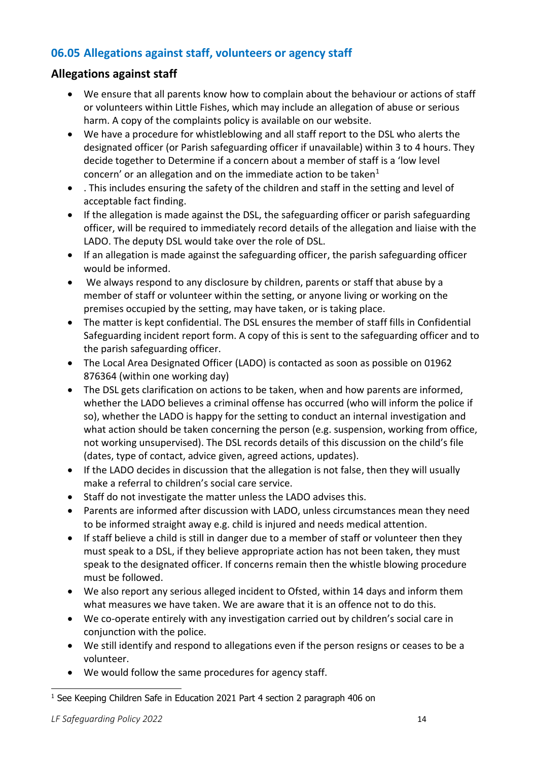## <span id="page-13-0"></span>**06.05 Allegations against staff, volunteers or agency staff**

## <span id="page-13-1"></span>**Allegations against staff**

- We ensure that all parents know how to complain about the behaviour or actions of staff or volunteers within Little Fishes, which may include an allegation of abuse or serious harm. A copy of the complaints policy is available on our website.
- We have a procedure for whistleblowing and all staff report to the DSL who alerts the designated officer (or Parish safeguarding officer if unavailable) within 3 to 4 hours. They decide together to Determine if a concern about a member of staff is a 'low level concern' or an allegation and on the immediate action to be taken $1$
- . This includes ensuring the safety of the children and staff in the setting and level of acceptable fact finding.
- If the allegation is made against the DSL, the safeguarding officer or parish safeguarding officer, will be required to immediately record details of the allegation and liaise with the LADO. The deputy DSL would take over the role of DSL.
- If an allegation is made against the safeguarding officer, the parish safeguarding officer would be informed.
- We always respond to any disclosure by children, parents or staff that abuse by a member of staff or volunteer within the setting, or anyone living or working on the premises occupied by the setting, may have taken, or is taking place.
- The matter is kept confidential. The DSL ensures the member of staff fills in Confidential Safeguarding incident report form. A copy of this is sent to the safeguarding officer and to the parish safeguarding officer.
- The Local Area Designated Officer (LADO) is contacted as soon as possible on 01962 876364 (within one working day)
- The DSL gets clarification on actions to be taken, when and how parents are informed, whether the LADO believes a criminal offense has occurred (who will inform the police if so), whether the LADO is happy for the setting to conduct an internal investigation and what action should be taken concerning the person (e.g. suspension, working from office, not working unsupervised). The DSL records details of this discussion on the child's file (dates, type of contact, advice given, agreed actions, updates).
- If the LADO decides in discussion that the allegation is not false, then they will usually make a referral to children's social care service.
- Staff do not investigate the matter unless the LADO advises this.
- Parents are informed after discussion with LADO, unless circumstances mean they need to be informed straight away e.g. child is injured and needs medical attention.
- If staff believe a child is still in danger due to a member of staff or volunteer then they must speak to a DSL, if they believe appropriate action has not been taken, they must speak to the designated officer. If concerns remain then the whistle blowing procedure must be followed.
- We also report any serious alleged incident to Ofsted, within 14 days and inform them what measures we have taken. We are aware that it is an offence not to do this.
- We co-operate entirely with any investigation carried out by children's social care in conjunction with the police.
- We still identify and respond to allegations even if the person resigns or ceases to be a volunteer.
- We would follow the same procedures for agency staff.

<sup>&</sup>lt;sup>1</sup> See Keeping Children Safe in Education 2021 Part 4 section 2 paragraph 406 on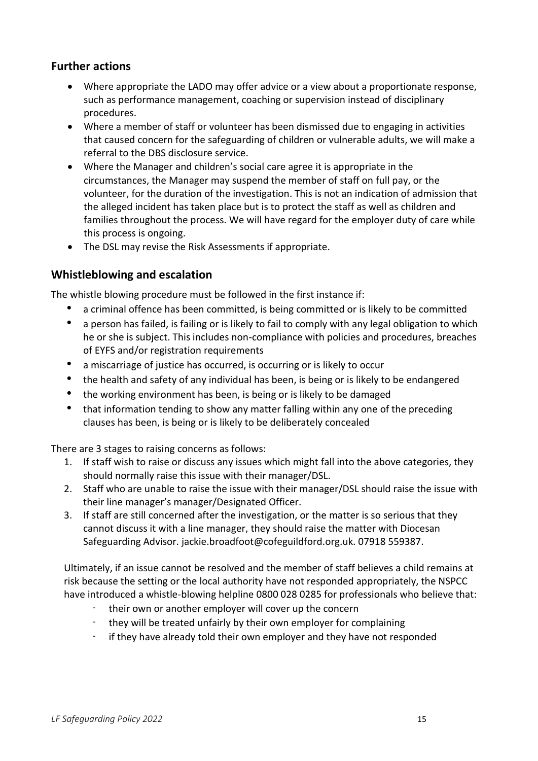#### <span id="page-14-0"></span>**Further actions**

- Where appropriate the LADO may offer advice or a view about a proportionate response, such as performance management, coaching or supervision instead of disciplinary procedures.
- Where a member of staff or volunteer has been dismissed due to engaging in activities that caused concern for the safeguarding of children or vulnerable adults, we will make a referral to the DBS disclosure service.
- Where the Manager and children's social care agree it is appropriate in the circumstances, the Manager may suspend the member of staff on full pay, or the volunteer, for the duration of the investigation. This is not an indication of admission that the alleged incident has taken place but is to protect the staff as well as children and families throughout the process. We will have regard for the employer duty of care while this process is ongoing.
- The DSL may revise the Risk Assessments if appropriate.

## <span id="page-14-1"></span>**Whistleblowing and escalation**

The whistle blowing procedure must be followed in the first instance if:

- a criminal offence has been committed, is being committed or is likely to be committed
- a person has failed, is failing or is likely to fail to comply with any legal obligation to which he or she is subject. This includes non-compliance with policies and procedures, breaches of EYFS and/or registration requirements
- a miscarriage of justice has occurred, is occurring or is likely to occur
- the health and safety of any individual has been, is being or is likely to be endangered
- the working environment has been, is being or is likely to be damaged
- that information tending to show any matter falling within any one of the preceding clauses has been, is being or is likely to be deliberately concealed

There are 3 stages to raising concerns as follows:

- 1. If staff wish to raise or discuss any issues which might fall into the above categories, they should normally raise this issue with their manager/DSL.
- 2. Staff who are unable to raise the issue with their manager/DSL should raise the issue with their line manager's manager/Designated Officer.
- 3. If staff are still concerned after the investigation, or the matter is so serious that they cannot discuss it with a line manager, they should raise the matter with Diocesan Safeguarding Advisor. jackie.broadfoot@cofeguildford.org.uk. 07918 559387.

Ultimately, if an issue cannot be resolved and the member of staff believes a child remains at risk because the setting or the local authority have not responded appropriately, the NSPCC have introduced a whistle-blowing helpline 0800 028 0285 for professionals who believe that:

- their own or another employer will cover up the concern
- they will be treated unfairly by their own employer for complaining
- if they have already told their own employer and they have not responded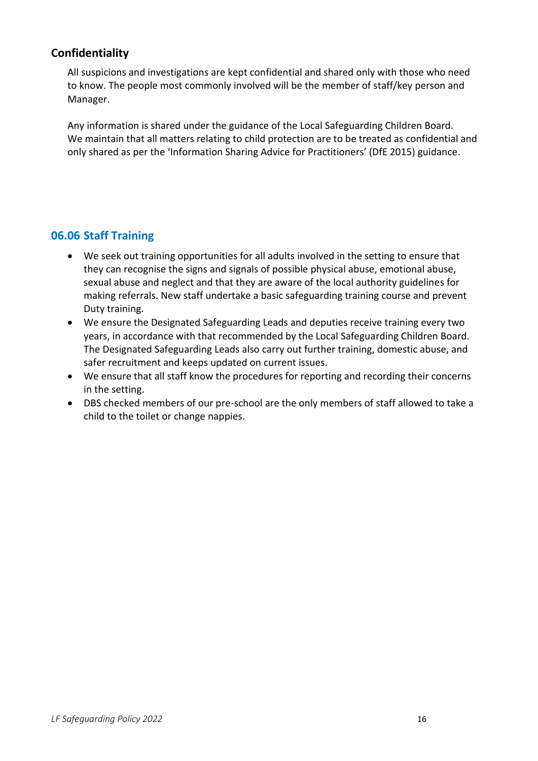## <span id="page-15-0"></span>**Confidentiality**

All suspicions and investigations are kept confidential and shared only with those who need to know. The people most commonly involved will be the member of staff/key person and Manager.

Any information is shared under the guidance of the Local Safeguarding Children Board. We maintain that all matters relating to child protection are to be treated as confidential and only shared as per the 'Information Sharing Advice for Practitioners' (DfE 2015) guidance.

## <span id="page-15-1"></span>**06.06 Staff Training**

- We seek out training opportunities for all adults involved in the setting to ensure that they can recognise the signs and signals of possible physical abuse, emotional abuse, sexual abuse and neglect and that they are aware of the local authority guidelines for making referrals. New staff undertake a basic safeguarding training course and prevent Duty training.
- We ensure the Designated Safeguarding Leads and deputies receive training every two years, in accordance with that recommended by the Local Safeguarding Children Board. The Designated Safeguarding Leads also carry out further training, domestic abuse, and safer recruitment and keeps updated on current issues.
- We ensure that all staff know the procedures for reporting and recording their concerns in the setting.
- DBS checked members of our pre-school are the only members of staff allowed to take a child to the toilet or change nappies.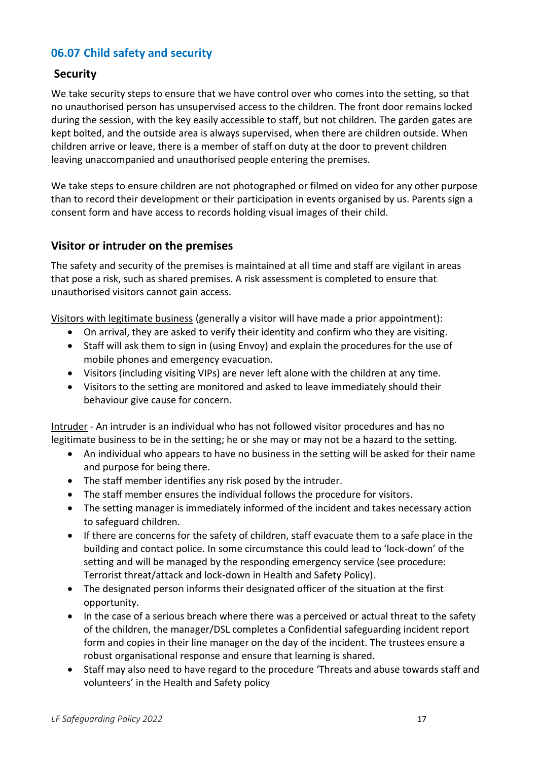## <span id="page-16-0"></span>**06.07 Child safety and security**

#### <span id="page-16-1"></span>**Security**

We take security steps to ensure that we have control over who comes into the setting, so that no unauthorised person has unsupervised access to the children. The front door remains locked during the session, with the key easily accessible to staff, but not children. The garden gates are kept bolted, and the outside area is always supervised, when there are children outside. When children arrive or leave, there is a member of staff on duty at the door to prevent children leaving unaccompanied and unauthorised people entering the premises.

We take steps to ensure children are not photographed or filmed on video for any other purpose than to record their development or their participation in events organised by us. Parents sign a consent form and have access to records holding visual images of their child.

#### <span id="page-16-2"></span>**Visitor or intruder on the premises**

The safety and security of the premises is maintained at all time and staff are vigilant in areas that pose a risk, such as shared premises. A risk assessment is completed to ensure that unauthorised visitors cannot gain access.

Visitors with legitimate business (generally a visitor will have made a prior appointment):

- On arrival, they are asked to verify their identity and confirm who they are visiting.
- Staff will ask them to sign in (using Envoy) and explain the procedures for the use of mobile phones and emergency evacuation.
- Visitors (including visiting VIPs) are never left alone with the children at any time.
- Visitors to the setting are monitored and asked to leave immediately should their behaviour give cause for concern.

Intruder - An intruder is an individual who has not followed visitor procedures and has no legitimate business to be in the setting; he or she may or may not be a hazard to the setting.

- An individual who appears to have no business in the setting will be asked for their name and purpose for being there.
- The staff member identifies any risk posed by the intruder.
- The staff member ensures the individual follows the procedure for visitors.
- The setting manager is immediately informed of the incident and takes necessary action to safeguard children.
- If there are concerns for the safety of children, staff evacuate them to a safe place in the building and contact police. In some circumstance this could lead to 'lock-down' of the setting and will be managed by the responding emergency service (see procedure: Terrorist threat/attack and lock-down in Health and Safety Policy).
- The designated person informs their designated officer of the situation at the first opportunity.
- In the case of a serious breach where there was a perceived or actual threat to the safety of the children, the manager/DSL completes a Confidential safeguarding incident report form and copies in their line manager on the day of the incident. The trustees ensure a robust organisational response and ensure that learning is shared.
- Staff may also need to have regard to the procedure 'Threats and abuse towards staff and volunteers' in the Health and Safety policy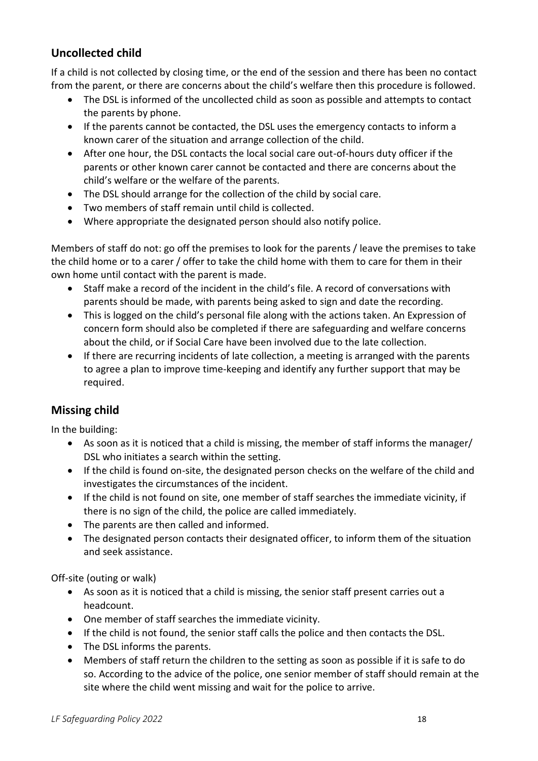## <span id="page-17-0"></span>**Uncollected child**

If a child is not collected by closing time, or the end of the session and there has been no contact from the parent, or there are concerns about the child's welfare then this procedure is followed.

- The DSL is informed of the uncollected child as soon as possible and attempts to contact the parents by phone.
- If the parents cannot be contacted, the DSL uses the emergency contacts to inform a known carer of the situation and arrange collection of the child.
- After one hour, the DSL contacts the local social care out-of-hours duty officer if the parents or other known carer cannot be contacted and there are concerns about the child's welfare or the welfare of the parents.
- The DSL should arrange for the collection of the child by social care.
- Two members of staff remain until child is collected.
- Where appropriate the designated person should also notify police.

Members of staff do not: go off the premises to look for the parents / leave the premises to take the child home or to a carer / offer to take the child home with them to care for them in their own home until contact with the parent is made.

- Staff make a record of the incident in the child's file. A record of conversations with parents should be made, with parents being asked to sign and date the recording.
- This is logged on the child's personal file along with the actions taken. An Expression of concern form should also be completed if there are safeguarding and welfare concerns about the child, or if Social Care have been involved due to the late collection.
- If there are recurring incidents of late collection, a meeting is arranged with the parents to agree a plan to improve time-keeping and identify any further support that may be required.

## <span id="page-17-1"></span>**Missing child**

In the building:

- As soon as it is noticed that a child is missing, the member of staff informs the manager/ DSL who initiates a search within the setting.
- If the child is found on-site, the designated person checks on the welfare of the child and investigates the circumstances of the incident.
- If the child is not found on site, one member of staff searches the immediate vicinity, if there is no sign of the child, the police are called immediately.
- The parents are then called and informed.
- The designated person contacts their designated officer, to inform them of the situation and seek assistance.

Off-site (outing or walk)

- As soon as it is noticed that a child is missing, the senior staff present carries out a headcount.
- One member of staff searches the immediate vicinity.
- If the child is not found, the senior staff calls the police and then contacts the DSL.
- The DSL informs the parents.
- Members of staff return the children to the setting as soon as possible if it is safe to do so. According to the advice of the police, one senior member of staff should remain at the site where the child went missing and wait for the police to arrive.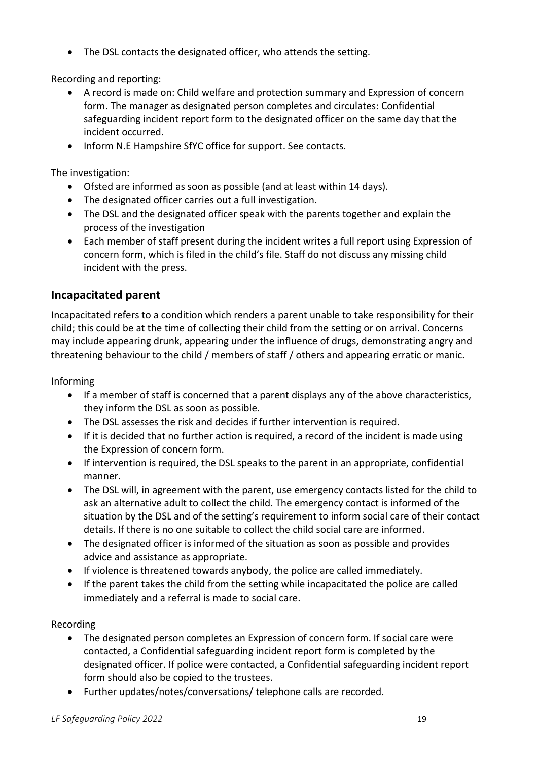• The DSL contacts the designated officer, who attends the setting.

Recording and reporting:

- A record is made on: Child welfare and protection summary and Expression of concern form. The manager as designated person completes and circulates: Confidential safeguarding incident report form to the designated officer on the same day that the incident occurred.
- Inform N.E Hampshire SfYC office for support. See contacts.

The investigation:

- Ofsted are informed as soon as possible (and at least within 14 days).
- The designated officer carries out a full investigation.
- The DSL and the designated officer speak with the parents together and explain the process of the investigation
- Each member of staff present during the incident writes a full report using Expression of concern form, which is filed in the child's file. Staff do not discuss any missing child incident with the press.

#### <span id="page-18-0"></span>**Incapacitated parent**

Incapacitated refers to a condition which renders a parent unable to take responsibility for their child; this could be at the time of collecting their child from the setting or on arrival. Concerns may include appearing drunk, appearing under the influence of drugs, demonstrating angry and threatening behaviour to the child / members of staff / others and appearing erratic or manic.

Informing

- If a member of staff is concerned that a parent displays any of the above characteristics, they inform the DSL as soon as possible.
- The DSL assesses the risk and decides if further intervention is required.
- If it is decided that no further action is required, a record of the incident is made using the Expression of concern form.
- If intervention is required, the DSL speaks to the parent in an appropriate, confidential manner.
- The DSL will, in agreement with the parent, use emergency contacts listed for the child to ask an alternative adult to collect the child. The emergency contact is informed of the situation by the DSL and of the setting's requirement to inform social care of their contact details. If there is no one suitable to collect the child social care are informed.
- The designated officer is informed of the situation as soon as possible and provides advice and assistance as appropriate.
- If violence is threatened towards anybody, the police are called immediately.
- If the parent takes the child from the setting while incapacitated the police are called immediately and a referral is made to social care.

#### Recording

- The designated person completes an Expression of concern form. If social care were contacted, a Confidential safeguarding incident report form is completed by the designated officer. If police were contacted, a Confidential safeguarding incident report form should also be copied to the trustees.
- Further updates/notes/conversations/ telephone calls are recorded.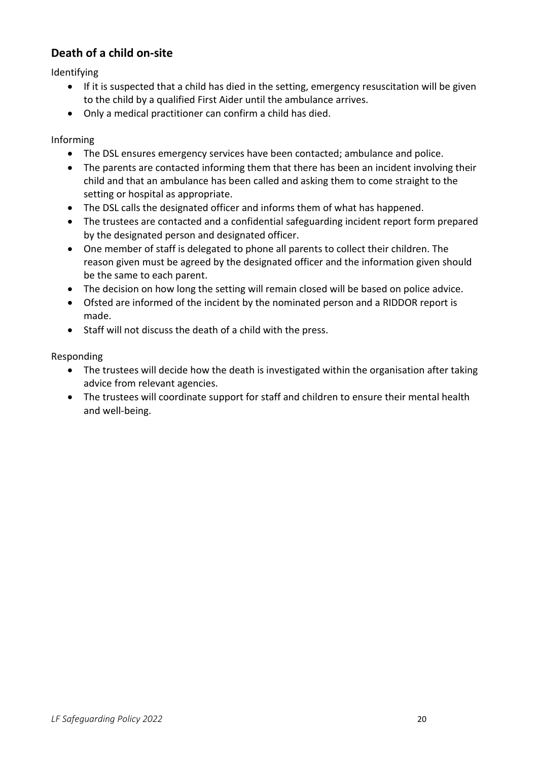## <span id="page-19-0"></span>**Death of a child on-site**

Identifying

- If it is suspected that a child has died in the setting, emergency resuscitation will be given to the child by a qualified First Aider until the ambulance arrives.
- Only a medical practitioner can confirm a child has died.

#### Informing

- The DSL ensures emergency services have been contacted; ambulance and police.
- The parents are contacted informing them that there has been an incident involving their child and that an ambulance has been called and asking them to come straight to the setting or hospital as appropriate.
- The DSL calls the designated officer and informs them of what has happened.
- The trustees are contacted and a confidential safeguarding incident report form prepared by the designated person and designated officer.
- One member of staff is delegated to phone all parents to collect their children. The reason given must be agreed by the designated officer and the information given should be the same to each parent.
- The decision on how long the setting will remain closed will be based on police advice.
- Ofsted are informed of the incident by the nominated person and a RIDDOR report is made.
- Staff will not discuss the death of a child with the press.

Responding

- The trustees will decide how the death is investigated within the organisation after taking advice from relevant agencies.
- The trustees will coordinate support for staff and children to ensure their mental health and well-being.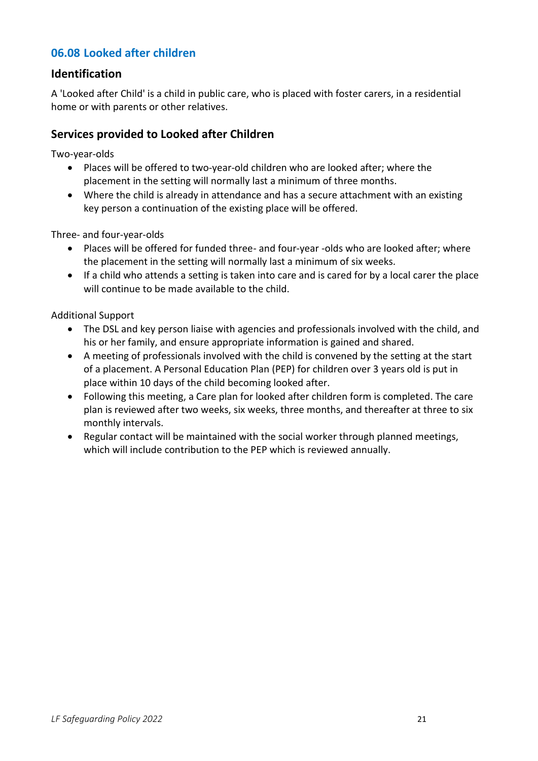## <span id="page-20-0"></span>**06.08 Looked after children**

#### <span id="page-20-1"></span>**Identification**

A 'Looked after Child' is a child in public care, who is placed with foster carers, in a residential home or with parents or other relatives.

#### <span id="page-20-2"></span>**Services provided to Looked after Children**

Two-year-olds

- Places will be offered to two-year-old children who are looked after; where the placement in the setting will normally last a minimum of three months.
- Where the child is already in attendance and has a secure attachment with an existing key person a continuation of the existing place will be offered.

Three- and four-year-olds

- Places will be offered for funded three- and four-year -olds who are looked after; where the placement in the setting will normally last a minimum of six weeks.
- If a child who attends a setting is taken into care and is cared for by a local carer the place will continue to be made available to the child.

Additional Support

- The DSL and key person liaise with agencies and professionals involved with the child, and his or her family, and ensure appropriate information is gained and shared.
- A meeting of professionals involved with the child is convened by the setting at the start of a placement. A Personal Education Plan (PEP) for children over 3 years old is put in place within 10 days of the child becoming looked after.
- Following this meeting, a Care plan for looked after children form is completed. The care plan is reviewed after two weeks, six weeks, three months, and thereafter at three to six monthly intervals.
- Regular contact will be maintained with the social worker through planned meetings, which will include contribution to the PEP which is reviewed annually.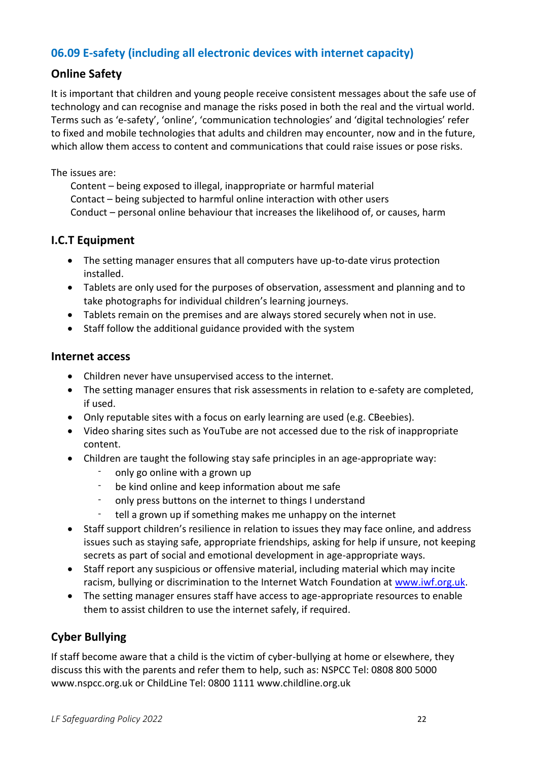## <span id="page-21-0"></span>**06.09 E-safety (including all electronic devices with internet capacity)**

## <span id="page-21-1"></span>**Online Safety**

It is important that children and young people receive consistent messages about the safe use of technology and can recognise and manage the risks posed in both the real and the virtual world. Terms such as 'e-safety', 'online', 'communication technologies' and 'digital technologies' refer to fixed and mobile technologies that adults and children may encounter, now and in the future, which allow them access to content and communications that could raise issues or pose risks.

#### The issues are:

Content – being exposed to illegal, inappropriate or harmful material Contact – being subjected to harmful online interaction with other users Conduct – personal online behaviour that increases the likelihood of, or causes, harm

#### <span id="page-21-2"></span>**I.C.T Equipment**

- The setting manager ensures that all computers have up-to-date virus protection installed.
- Tablets are only used for the purposes of observation, assessment and planning and to take photographs for individual children's learning journeys.
- Tablets remain on the premises and are always stored securely when not in use.
- Staff follow the additional guidance provided with the system

#### <span id="page-21-3"></span>**Internet access**

- Children never have unsupervised access to the internet.
- The setting manager ensures that risk assessments in relation to e-safety are completed, if used.
- Only reputable sites with a focus on early learning are used (e.g. CBeebies).
- Video sharing sites such as YouTube are not accessed due to the risk of inappropriate content.
- Children are taught the following stay safe principles in an age-appropriate way:
	- only go online with a grown up
	- be kind online and keep information about me safe
	- only press buttons on the internet to things I understand
	- tell a grown up if something makes me unhappy on the internet
- Staff support children's resilience in relation to issues they may face online, and address issues such as staying safe, appropriate friendships, asking for help if unsure, not keeping secrets as part of social and emotional development in age-appropriate ways.
- Staff report any suspicious or offensive material, including material which may incite racism, bullying or discrimination to the Internet Watch Foundation at [www.iwf.org.uk.](http://www.iwf.org.uk/)
- The setting manager ensures staff have access to age-appropriate resources to enable them to assist children to use the internet safely, if required.

## <span id="page-21-4"></span>**Cyber Bullying**

If staff become aware that a child is the victim of cyber-bullying at home or elsewhere, they discuss this with the parents and refer them to help, such as: NSPCC Tel: 0808 800 5000 www.nspcc.org.uk or ChildLine Tel: 0800 1111 www.childline.org.uk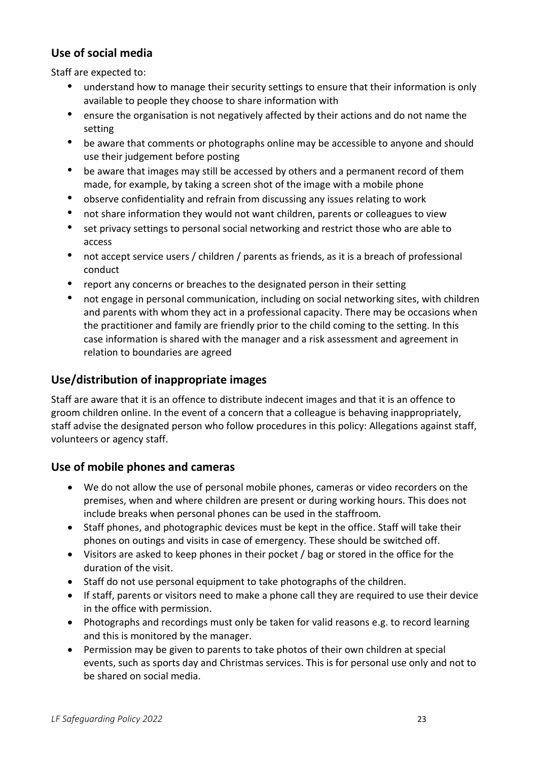## <span id="page-22-0"></span>**Use of social media**

Staff are expected to:

- understand how to manage their security settings to ensure that their information is only available to people they choose to share information with
- ensure the organisation is not negatively affected by their actions and do not name the setting
- be aware that comments or photographs online may be accessible to anyone and should use their judgement before posting
- be aware that images may still be accessed by others and a permanent record of them made, for example, by taking a screen shot of the image with a mobile phone
- observe confidentiality and refrain from discussing any issues relating to work
- not share information they would not want children, parents or colleagues to view
- set privacy settings to personal social networking and restrict those who are able to access
- not accept service users / children / parents as friends, as it is a breach of professional conduct
- report any concerns or breaches to the designated person in their setting
- not engage in personal communication, including on social networking sites, with children and parents with whom they act in a professional capacity. There may be occasions when the practitioner and family are friendly prior to the child coming to the setting. In this case information is shared with the manager and a risk assessment and agreement in relation to boundaries are agreed

## <span id="page-22-1"></span>**Use/distribution of inappropriate images**

Staff are aware that it is an offence to distribute indecent images and that it is an offence to groom children online. In the event of a concern that a colleague is behaving inappropriately, staff advise the designated person who follow procedures in this policy: Allegations against staff, volunteers or agency staff.

#### <span id="page-22-2"></span>**Use of mobile phones and cameras**

- We do not allow the use of personal mobile phones, cameras or video recorders on the premises, when and where children are present or during working hours. This does not include breaks when personal phones can be used in the staffroom.
- Staff phones, and photographic devices must be kept in the office. Staff will take their phones on outings and visits in case of emergency. These should be switched off.
- Visitors are asked to keep phones in their pocket / bag or stored in the office for the duration of the visit.
- Staff do not use personal equipment to take photographs of the children.
- If staff, parents or visitors need to make a phone call they are required to use their device in the office with permission.
- Photographs and recordings must only be taken for valid reasons e.g. to record learning and this is monitored by the manager.
- Permission may be given to parents to take photos of their own children at special events, such as sports day and Christmas services. This is for personal use only and not to be shared on social media.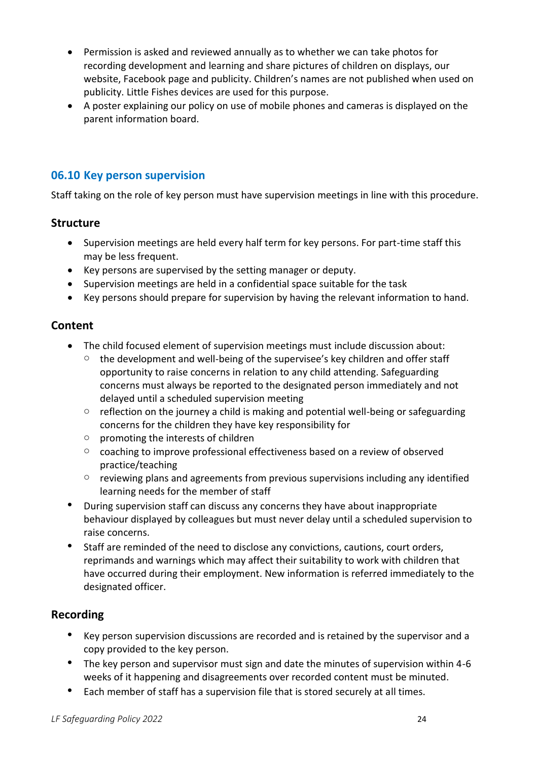- Permission is asked and reviewed annually as to whether we can take photos for recording development and learning and share pictures of children on displays, our website, Facebook page and publicity. Children's names are not published when used on publicity. Little Fishes devices are used for this purpose.
- A poster explaining our policy on use of mobile phones and cameras is displayed on the parent information board.

## <span id="page-23-0"></span>**06.10 Key person supervision**

Staff taking on the role of key person must have supervision meetings in line with this procedure.

#### <span id="page-23-1"></span>**Structure**

- Supervision meetings are held every half term for key persons. For part-time staff this may be less frequent.
- Key persons are supervised by the setting manager or deputy.
- Supervision meetings are held in a confidential space suitable for the task
- Key persons should prepare for supervision by having the relevant information to hand.

#### <span id="page-23-2"></span>**Content**

- The child focused element of supervision meetings must include discussion about:
	- $\circ$  the development and well-being of the supervisee's key children and offer staff opportunity to raise concerns in relation to any child attending. Safeguarding concerns must always be reported to the designated person immediately and not delayed until a scheduled supervision meeting
	- $\circ$  reflection on the journey a child is making and potential well-being or safeguarding concerns for the children they have key responsibility for
	- o promoting the interests of children
	- $\circ$  coaching to improve professional effectiveness based on a review of observed practice/teaching
	- o reviewing plans and agreements from previous supervisions including any identified learning needs for the member of staff
- During supervision staff can discuss any concerns they have about inappropriate behaviour displayed by colleagues but must never delay until a scheduled supervision to raise concerns.
- Staff are reminded of the need to disclose any convictions, cautions, court orders, reprimands and warnings which may affect their suitability to work with children that have occurred during their employment. New information is referred immediately to the designated officer.

#### <span id="page-23-3"></span>**Recording**

- Key person supervision discussions are recorded and is retained by the supervisor and a copy provided to the key person.
- The key person and supervisor must sign and date the minutes of supervision within 4-6 weeks of it happening and disagreements over recorded content must be minuted.
- Each member of staff has a supervision file that is stored securely at all times.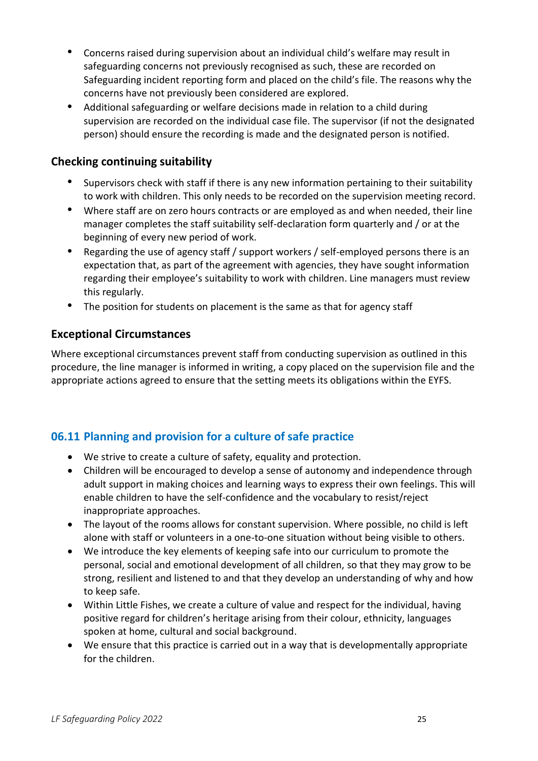- Concerns raised during supervision about an individual child's welfare may result in safeguarding concerns not previously recognised as such, these are recorded on Safeguarding incident reporting form and placed on the child's file. The reasons why the concerns have not previously been considered are explored.
- Additional safeguarding or welfare decisions made in relation to a child during supervision are recorded on the individual case file. The supervisor (if not the designated person) should ensure the recording is made and the designated person is notified.

## <span id="page-24-0"></span>**Checking continuing suitability**

- Supervisors check with staff if there is any new information pertaining to their suitability to work with children. This only needs to be recorded on the supervision meeting record.
- Where staff are on zero hours contracts or are employed as and when needed, their line manager completes the staff suitability self-declaration form quarterly and / or at the beginning of every new period of work.
- Regarding the use of agency staff / support workers / self-employed persons there is an expectation that, as part of the agreement with agencies, they have sought information regarding their employee's suitability to work with children. Line managers must review this regularly.
- The position for students on placement is the same as that for agency staff

## <span id="page-24-1"></span>**Exceptional Circumstances**

Where exceptional circumstances prevent staff from conducting supervision as outlined in this procedure, the line manager is informed in writing, a copy placed on the supervision file and the appropriate actions agreed to ensure that the setting meets its obligations within the EYFS.

## <span id="page-24-2"></span>**06.11 Planning and provision for a culture of safe practice**

- We strive to create a culture of safety, equality and protection.
- Children will be encouraged to develop a sense of autonomy and independence through adult support in making choices and learning ways to express their own feelings. This will enable children to have the self-confidence and the vocabulary to resist/reject inappropriate approaches.
- The layout of the rooms allows for constant supervision. Where possible, no child is left alone with staff or volunteers in a one-to-one situation without being visible to others.
- We introduce the key elements of keeping safe into our curriculum to promote the personal, social and emotional development of all children, so that they may grow to be strong, resilient and listened to and that they develop an understanding of why and how to keep safe.
- Within Little Fishes, we create a culture of value and respect for the individual, having positive regard for children's heritage arising from their colour, ethnicity, languages spoken at home, cultural and social background.
- We ensure that this practice is carried out in a way that is developmentally appropriate for the children.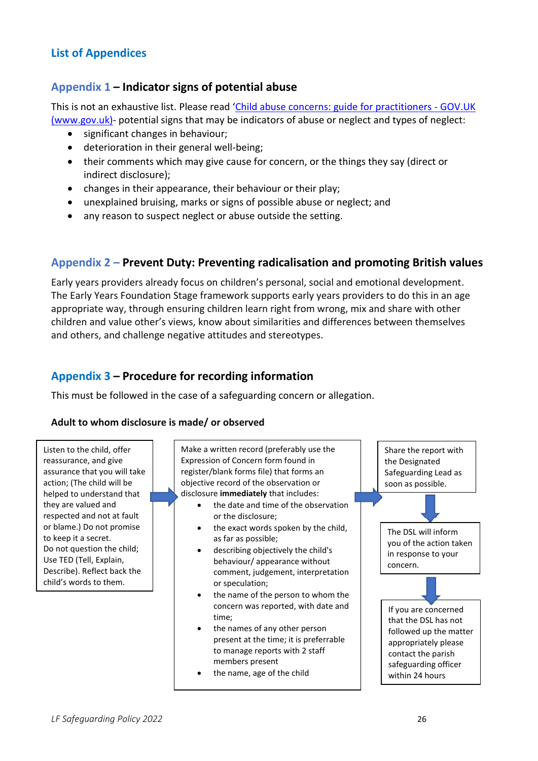## <span id="page-25-0"></span>**List of Appendices**

### <span id="page-25-1"></span>**Appendix 1 – Indicator signs of potential abuse**

This is not an exhaustive list. Please read '[Child abuse concerns: guide for practitioners -](https://www.gov.uk/government/publications/what-to-do-if-youre-worried-a-child-is-being-abused--2) GOV.UK [\(www.gov.uk\)-](https://www.gov.uk/government/publications/what-to-do-if-youre-worried-a-child-is-being-abused--2) potential signs that may be indicators of abuse or neglect and types of neglect:

- significant changes in behaviour;
- deterioration in their general well-being;
- their comments which may give cause for concern, or the things they say (direct or indirect disclosure);
- changes in their appearance, their behaviour or their play;
- unexplained bruising, marks or signs of possible abuse or neglect; and
- any reason to suspect neglect or abuse outside the setting.

## <span id="page-25-2"></span>**Appendix 2 – Prevent Duty: Preventing radicalisation and promoting British values**

Early years providers already focus on children's personal, social and emotional development. The Early Years Foundation Stage framework supports early years providers to do this in an age appropriate way, through ensuring children learn right from wrong, mix and share with other children and value other's views, know about similarities and differences between themselves and others, and challenge negative attitudes and stereotypes.

## <span id="page-25-3"></span>**Appendix 3 – Procedure for recording information**

This must be followed in the case of a safeguarding concern or allegation.

#### **Adult to whom disclosure is made/ or observed**

Listen to the child, offer reassurance, and give assurance that you will take action; (The child will be helped to understand that they are valued and respected and not at fault or blame.) Do not promise to keep it a secret. Do not question the child; Use TED (Tell, Explain, Describe). Reflect back the child's words to them.

Make a written record (preferably use the Expression of Concern form found in register/blank forms file) that forms an objective record of the observation or disclosure **immediately** that includes: the date and time of the observation or the disclosure; the exact words spoken by the child, as far as possible; • describing objectively the child's behaviour/ appearance without comment, judgement, interpretation or speculation; • the name of the person to whom the concern was reported, with date and time; the names of any other person present at the time; it is preferrable to manage reports with 2 staff members present the name, age of the child Share the report with the Designated Safeguarding Lead as soon as possible. If you are concerned that the DSL has not followed up the matter appropriately please contact the parish safeguarding officer The DSL will inform you of the action taken in response to your concern.

within 24 hours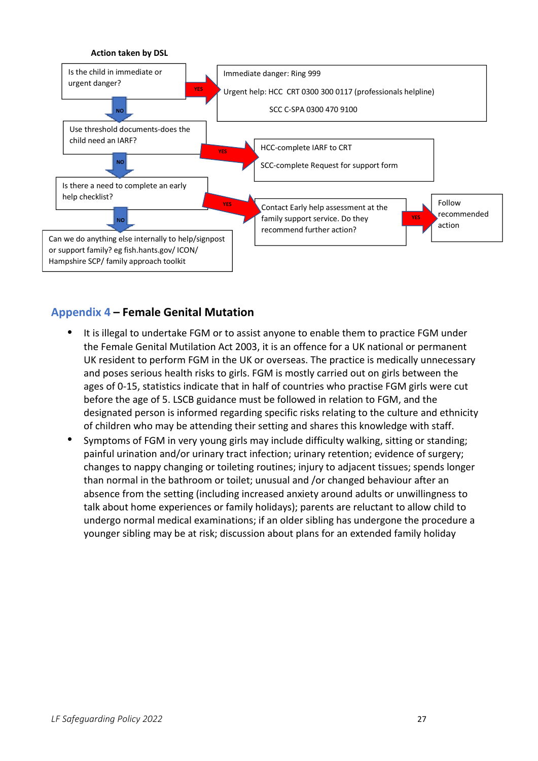

## <span id="page-26-0"></span>**Appendix 4 – Female Genital Mutation**

- It is illegal to undertake FGM or to assist anyone to enable them to practice FGM under the Female Genital Mutilation Act 2003, it is an offence for a UK national or permanent UK resident to perform FGM in the UK or overseas. The practice is medically unnecessary and poses serious health risks to girls. FGM is mostly carried out on girls between the ages of 0-15, statistics indicate that in half of countries who practise FGM girls were cut before the age of 5. LSCB guidance must be followed in relation to FGM, and the designated person is informed regarding specific risks relating to the culture and ethnicity of children who may be attending their setting and shares this knowledge with staff.
- Symptoms of FGM in very young girls may include difficulty walking, sitting or standing; painful urination and/or urinary tract infection; urinary retention; evidence of surgery; changes to nappy changing or toileting routines; injury to adjacent tissues; spends longer than normal in the bathroom or toilet; unusual and /or changed behaviour after an absence from the setting (including increased anxiety around adults or unwillingness to talk about home experiences or family holidays); parents are reluctant to allow child to undergo normal medical examinations; if an older sibling has undergone the procedure a younger sibling may be at risk; discussion about plans for an extended family holiday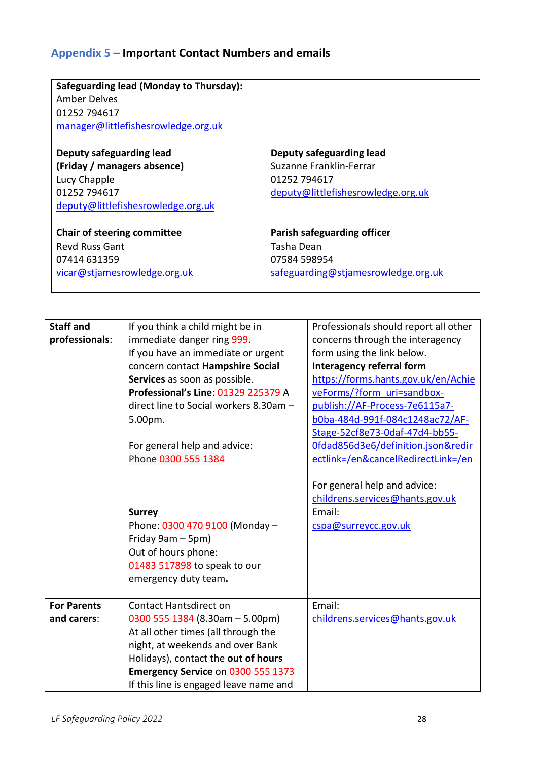# <span id="page-27-0"></span>**Appendix 5 – Important Contact Numbers and emails**

| Safeguarding lead (Monday to Thursday):<br>Amber Delves<br>01252 794617<br>manager@littlefishesrowledge.org.uk |                                     |
|----------------------------------------------------------------------------------------------------------------|-------------------------------------|
| Deputy safeguarding lead                                                                                       | Deputy safeguarding lead            |
| (Friday / managers absence)                                                                                    | Suzanne Franklin-Ferrar             |
| Lucy Chapple                                                                                                   | 01252 794617                        |
| 01252 794617                                                                                                   | deputy@littlefishesrowledge.org.uk  |
| deputy@littlefishesrowledge.org.uk                                                                             |                                     |
|                                                                                                                |                                     |
| <b>Chair of steering committee</b>                                                                             | Parish safeguarding officer         |
| Reyd Russ Gant                                                                                                 | Tasha Dean                          |
| 07414 631359                                                                                                   | 07584 598954                        |
| vicar@stjamesrowledge.org.uk                                                                                   | safeguarding@stjamesrowledge.org.uk |
|                                                                                                                |                                     |

| <b>Staff and</b>   | If you think a child might be in           | Professionals should report all other |
|--------------------|--------------------------------------------|---------------------------------------|
| professionals:     | immediate danger ring 999.                 | concerns through the interagency      |
|                    | If you have an immediate or urgent         | form using the link below.            |
|                    | concern contact Hampshire Social           | <b>Interagency referral form</b>      |
|                    | Services as soon as possible.              | https://forms.hants.gov.uk/en/Achie   |
|                    | <b>Professional's Line: 01329 225379 A</b> | veForms/?form uri=sandbox-            |
|                    | direct line to Social workers 8.30am -     | publish://AF-Process-7e6115a7-        |
|                    | 5.00pm.                                    | b0ba-484d-991f-084c1248ac72/AF-       |
|                    |                                            | Stage-52cf8e73-0daf-47d4-bb55-        |
|                    | For general help and advice:               | Ofdad856d3e6/definition.json&redir    |
|                    | Phone 0300 555 1384                        | ectlink=/en&cancelRedirectLink=/en    |
|                    |                                            |                                       |
|                    |                                            | For general help and advice:          |
|                    |                                            | childrens.services@hants.gov.uk       |
|                    | <b>Surrey</b>                              | Email:                                |
|                    | Phone: 0300 470 9100 (Monday -             | cspa@surreycc.gov.uk                  |
|                    | Friday 9am - 5pm)                          |                                       |
|                    | Out of hours phone:                        |                                       |
|                    | 01483 517898 to speak to our               |                                       |
|                    | emergency duty team.                       |                                       |
|                    |                                            |                                       |
| <b>For Parents</b> | <b>Contact Hantsdirect on</b>              | Email:                                |
|                    |                                            |                                       |
| and carers:        | 0300 555 1384 (8.30am - 5.00pm)            | childrens.services@hants.gov.uk       |
|                    | At all other times (all through the        |                                       |
|                    | night, at weekends and over Bank           |                                       |
|                    | Holidays), contact the out of hours        |                                       |
|                    | Emergency Service on 0300 555 1373         |                                       |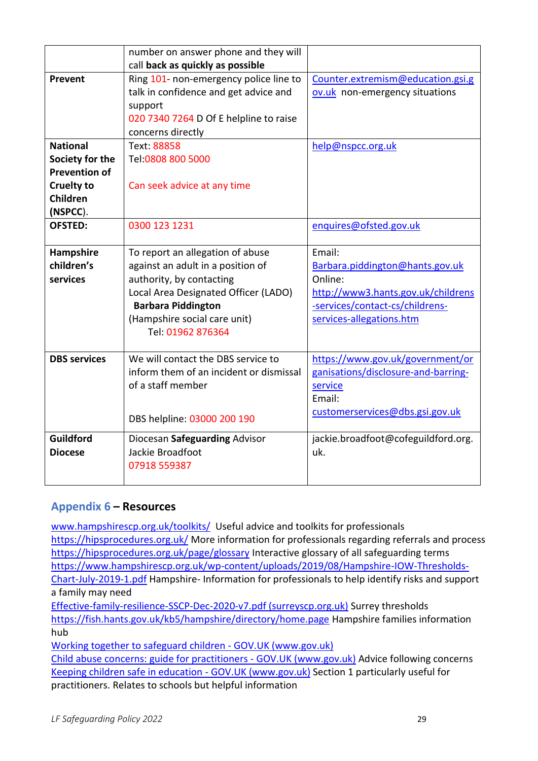|                      | number on answer phone and they will    |                                     |
|----------------------|-----------------------------------------|-------------------------------------|
|                      | call back as quickly as possible        |                                     |
| <b>Prevent</b>       | Ring 101- non-emergency police line to  | Counter.extremism@education.gsi.g   |
|                      | talk in confidence and get advice and   | ov.uk non-emergency situations      |
|                      | support                                 |                                     |
|                      | 020 7340 7264 D Of E helpline to raise  |                                     |
|                      | concerns directly                       |                                     |
| <b>National</b>      | Text: 88858                             | help@nspcc.org.uk                   |
| Society for the      | Tel:0808 800 5000                       |                                     |
| <b>Prevention of</b> |                                         |                                     |
| <b>Cruelty to</b>    | Can seek advice at any time             |                                     |
| <b>Children</b>      |                                         |                                     |
| (NSPCC).             |                                         |                                     |
| <b>OFSTED:</b>       | 0300 123 1231                           | enquires@ofsted.gov.uk              |
|                      |                                         |                                     |
| Hampshire            | To report an allegation of abuse        | Email:                              |
| children's           | against an adult in a position of       | Barbara.piddington@hants.gov.uk     |
| services             | authority, by contacting                | Online:                             |
|                      | Local Area Designated Officer (LADO)    | http://www3.hants.gov.uk/childrens  |
|                      | <b>Barbara Piddington</b>               | -services/contact-cs/childrens-     |
|                      | (Hampshire social care unit)            | services-allegations.htm            |
|                      | Tel: 01962 876364                       |                                     |
|                      |                                         |                                     |
| <b>DBS</b> services  | We will contact the DBS service to      | https://www.gov.uk/government/or    |
|                      | inform them of an incident or dismissal | ganisations/disclosure-and-barring- |
|                      | of a staff member                       | service                             |
|                      |                                         | Email:                              |
|                      | DBS helpline: 03000 200 190             | customerservices@dbs.gsi.gov.uk     |
|                      |                                         |                                     |
| <b>Guildford</b>     | Diocesan Safeguarding Advisor           | jackie.broadfoot@cofeguildford.org. |
| <b>Diocese</b>       | Jackie Broadfoot                        | uk.                                 |
|                      | 07918 559387                            |                                     |
|                      |                                         |                                     |

## <span id="page-28-0"></span>**Appendix 6 – Resources**

[www.hampshirescp.org.uk/toolkits/](http://www.hampshirescp.org.uk/toolkits/) Useful advice and toolkits for professionals <https://hipsprocedures.org.uk/> More information for professionals regarding referrals and process <https://hipsprocedures.org.uk/page/glossary> Interactive glossary of all safeguarding terms [https://www.hampshirescp.org.uk/wp-content/uploads/2019/08/Hampshire-IOW-Thresholds-](https://www.hampshirescp.org.uk/wp-content/uploads/2019/08/Hampshire-IOW-Thresholds-Chart-July-2019-1.pdf)[Chart-July-2019-1.pdf](https://www.hampshirescp.org.uk/wp-content/uploads/2019/08/Hampshire-IOW-Thresholds-Chart-July-2019-1.pdf) Hampshire- Information for professionals to help identify risks and support a family may need

[Effective-family-resilience-SSCP-Dec-2020-v7.pdf \(surreyscp.org.uk\)](https://www.surreyscp.org.uk/wp-content/uploads/2021/04/Effective-family-resilience-SSCP-Dec-2020-v7.pdf) Surrey thresholds <https://fish.hants.gov.uk/kb5/hampshire/directory/home.page> Hampshire families information hub

[Working together to safeguard children -](https://www.gov.uk/government/publications/working-together-to-safeguard-children--2) GOV.UK (www.gov.uk)

[Child abuse concerns: guide for practitioners -](https://www.gov.uk/government/publications/what-to-do-if-youre-worried-a-child-is-being-abused--2) GOV.UK (www.gov.uk) Advice following concerns [Keeping children safe in education -](https://www.gov.uk/government/publications/keeping-children-safe-in-education--2) GOV.UK (www.gov.uk) Section 1 particularly useful for practitioners. Relates to schools but helpful information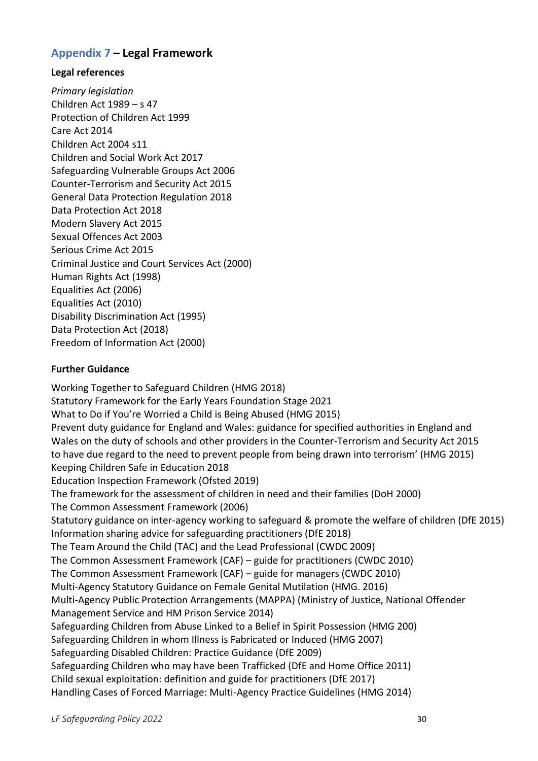## <span id="page-29-0"></span>**Appendix 7 – Legal Framework**

#### **Legal references**

*Primary legislation* Children Act 1989 – s 47 Protection of Children Act 1999 Care Act 2014 Children Act 2004 s11 Children and Social Work Act 2017 Safeguarding Vulnerable Groups Act 2006 Counter-Terrorism and Security Act 2015 General Data Protection Regulation 2018 Data Protection Act 2018 Modern Slavery Act 2015 Sexual Offences Act 2003 Serious Crime Act 2015 Criminal Justice and Court Services Act (2000) Human Rights Act (1998) Equalities Act (2006) Equalities Act (2010) Disability Discrimination Act (1995) Data Protection Act (2018) Freedom of Information Act (2000)

#### **Further Guidance**

Working Together to Safeguard Children (HMG 2018) Statutory Framework for the Early Years Foundation Stage 2021 What to Do if You're Worried a Child is Being Abused (HMG 2015) Prevent duty guidance for England and Wales: guidance for specified authorities in England and Wales on the duty of schools and other providers in the Counter-Terrorism and Security Act 2015 to have due regard to the need to prevent people from being drawn into terrorism' (HMG 2015) Keeping Children Safe in Education 2018 Education Inspection Framework (Ofsted 2019) The framework for the assessment of children in need and their families (DoH 2000) The Common Assessment Framework (2006) Statutory guidance on inter-agency working to safeguard & promote the welfare of children (DfE 2015) Information sharing advice for safeguarding practitioners (DfE 2018) The Team Around the Child (TAC) and the Lead Professional (CWDC 2009) The Common Assessment Framework (CAF) – guide for practitioners (CWDC 2010) The Common Assessment Framework (CAF) – guide for managers (CWDC 2010) Multi-Agency Statutory Guidance on Female Genital Mutilation (HMG. 2016) Multi-Agency Public Protection Arrangements (MAPPA) (Ministry of Justice, National Offender Management Service and HM Prison Service 2014) Safeguarding Children from Abuse Linked to a Belief in Spirit Possession (HMG 200) Safeguarding Children in whom Illness is Fabricated or Induced (HMG 2007) Safeguarding Disabled Children: Practice Guidance (DfE 2009) Safeguarding Children who may have been Trafficked (DfE and Home Office 2011) Child sexual exploitation: definition and guide for practitioners (DfE 2017) Handling Cases of Forced Marriage: Multi-Agency Practice Guidelines (HMG 2014)